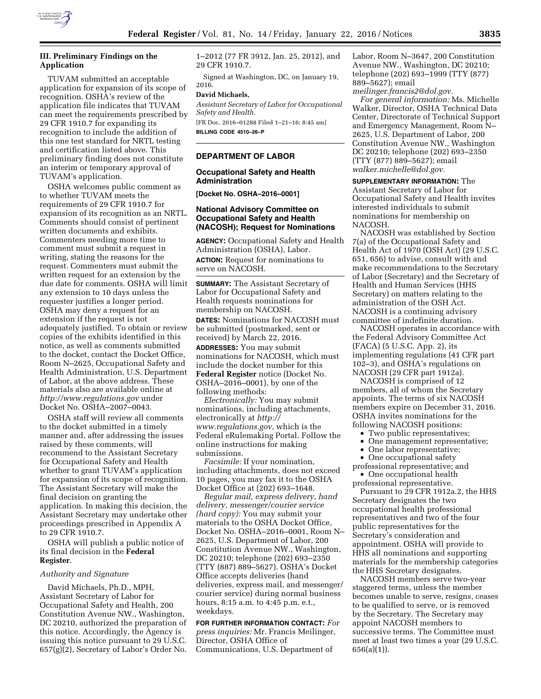

# **III. Preliminary Findings on the Application**

TUVAM submitted an acceptable application for expansion of its scope of recognition. OSHA's review of the application file indicates that TUVAM can meet the requirements prescribed by 29 CFR 1910.7 for expanding its recognition to include the addition of this one test standard for NRTL testing and certification listed above. This preliminary finding does not constitute an interim or temporary approval of TUVAM's application.

OSHA welcomes public comment as to whether TUVAM meets the requirements of 29 CFR 1910.7 for expansion of its recognition as an NRTL. Comments should consist of pertinent written documents and exhibits. Commenters needing more time to comment must submit a request in writing, stating the reasons for the request. Commenters must submit the written request for an extension by the due date for comments. OSHA will limit any extension to 10 days unless the requester justifies a longer period. OSHA may deny a request for an extension if the request is not adequately justified. To obtain or review copies of the exhibits identified in this notice, as well as comments submitted to the docket, contact the Docket Office, Room N–2625, Occupational Safety and Health Administration, U.S. Department of Labor, at the above address. These materials also are available online at *<http://www.regulations.gov>* under Docket No. OSHA–2007–0043.

OSHA staff will review all comments to the docket submitted in a timely manner and, after addressing the issues raised by these comments, will recommend to the Assistant Secretary for Occupational Safety and Health whether to grant TUVAM's application for expansion of its scope of recognition. The Assistant Secretary will make the final decision on granting the application. In making this decision, the Assistant Secretary may undertake other proceedings prescribed in Appendix A to 29 CFR 1910.7.

OSHA will publish a public notice of its final decision in the **Federal Register**.

#### *Authority and Signature*

David Michaels, Ph.D., MPH, Assistant Secretary of Labor for Occupational Safety and Health, 200 Constitution Avenue NW., Washington, DC 20210, authorized the preparation of this notice. Accordingly, the Agency is issuing this notice pursuant to 29 U.S.C. 657(g)(2), Secretary of Labor's Order No.

1–2012 (77 FR 3912, Jan. 25, 2012), and 29 CFR 1910.7.

Signed at Washington, DC, on January 19, 2016.

#### **David Michaels,**

*Assistant Secretary of Labor for Occupational Safety and Health.* 

[FR Doc. 2016–01288 Filed 1–21–16; 8:45 am] **BILLING CODE 4510–26–P** 

## **DEPARTMENT OF LABOR**

### **Occupational Safety and Health Administration**

**[Docket No. OSHA–2016–0001]** 

## **National Advisory Committee on Occupational Safety and Health (NACOSH); Request for Nominations**

**AGENCY:** Occupational Safety and Health Administration (OSHA), Labor. **ACTION:** Request for nominations to serve on NACOSH.

**SUMMARY:** The Assistant Secretary of Labor for Occupational Safety and Health requests nominations for membership on NACOSH. **DATES:** Nominations for NACOSH must be submitted (postmarked, sent or received) by March 22, 2016. **ADDRESSES:** You may submit nominations for NACOSH, which must include the docket number for this **Federal Register** notice (Docket No. OSHA–2016–0001), by one of the following methods:

*Electronically:* You may submit nominations, including attachments, electronically at *[http://](http://www.regulations.gov) [www.regulations.gov,](http://www.regulations.gov)* which is the Federal eRulemaking Portal. Follow the online instructions for making submissions.

*Facsimile:* If your nomination, including attachments, does not exceed 10 pages, you may fax it to the OSHA Docket Office at (202) 693–1648.

*Regular mail, express delivery, hand delivery, messenger/courier service (hard copy):* You may submit your materials to the OSHA Docket Office, Docket No. OSHA–2016–0001, Room N– 2625, U.S. Department of Labor, 200 Constitution Avenue NW., Washington, DC 20210; telephone (202) 693–2350 (TTY (887) 889–5627). OSHA's Docket Office accepts deliveries (hand deliveries, express mail, and messenger/ courier service) during normal business hours, 8:15 a.m. to 4:45 p.m. e.t., weekdays.

**FOR FURTHER INFORMATION CONTACT:** *For press inquiries:* Mr. Francis Meilinger, Director, OSHA Office of Communications, U.S. Department of

Labor, Room N–3647, 200 Constitution Avenue NW., Washington, DC 20210; telephone (202) 693–1999 (TTY (877) 889–5627); email *[meilinger.francis2@dol.gov.](mailto:meilinger.francis2@dol.gov)* 

*For general information:* Ms. Michelle Walker, Director, OSHA Technical Data Center, Directorate of Technical Support and Emergency Management, Room N– 2625, U.S. Department of Labor, 200 Constitution Avenue NW., Washington DC 20210; telephone (202) 693–2350 (TTY (877) 889–5627); email *[walker.michelle@dol.gov.](mailto:walker.michelle@dol.gov)* 

**SUPPLEMENTARY INFORMATION:** The Assistant Secretary of Labor for Occupational Safety and Health invites interested individuals to submit nominations for membership on NACOSH.

NACOSH was established by Section 7(a) of the Occupational Safety and Health Act of 1970 (OSH Act) (29 U.S.C. 651, 656) to advise, consult with and make recommendations to the Secretary of Labor (Secretary) and the Secretary of Health and Human Services (HHS Secretary) on matters relating to the administration of the OSH Act. NACOSH is a continuing advisory committee of indefinite duration.

NACOSH operates in accordance with the Federal Advisory Committee Act (FACA) (5 U.S.C. App. 2), its implementing regulations (41 CFR part 102–3), and OSHA's regulations on NACOSH (29 CFR part 1912a).

NACOSH is comprised of 12 members, all of whom the Secretary appoints. The terms of six NACOSH members expire on December 31, 2016. OSHA invites nominations for the following NACOSH positions:

- Two public representatives;
- One management representative;
- One labor representative;
- One occupational safety

professional representative; and • One occupational health

professional representative.

Pursuant to 29 CFR 1912a.2, the HHS Secretary designates the two occupational health professional representatives and two of the four public representatives for the Secretary's consideration and appointment. OSHA will provide to HHS all nominations and supporting materials for the membership categories the HHS Secretary designates.

NACOSH members serve two-year staggered terms, unless the member becomes unable to serve, resigns, ceases to be qualified to serve, or is removed by the Secretary. The Secretary may appoint NACOSH members to successive terms. The Committee must meet at least two times a year (29 U.S.C. 656(a)(1)).